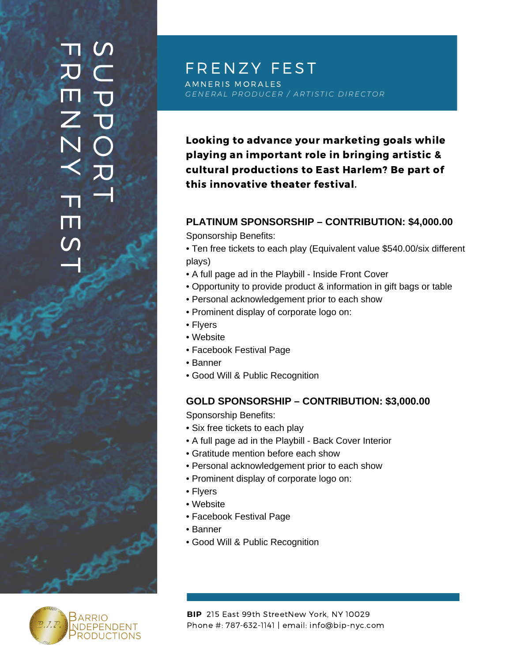# **TI M**  $\subset$  $\overline{\mathbf{U}}$  $\overline{\mathbf{U}}$  $\overline{\mathbf{O}}$ 刀 T  $\overline{\bm{v}}$ ET 3  $\mathsf{Z}$  $\overline{\mathsf{N}}$  $\prec$ an) E  $\boldsymbol{\mathsf{C}}$ T



GENERAL PRODUCER / ARTISTIC DIRECTOR

Looking to advance your marketing goals while playing an important role in bringing artistic & cultural productions to East Harlem? Be part of this innovative theater festival.

### **PLATINUM SPONSORSHIP – CONTRIBUTION: \$4,000.00**

Sponsorship Benefits:

- Ten free tickets to each play (Equivalent value \$540.00/six different plays)
- A full page ad in the Playbill Inside Front Cover
- Opportunity to provide product & information in gift bags or table
- Personal acknowledgement prior to each show
- Prominent display of corporate logo on:
- Flyers
- Website
- Facebook Festival Page
- Banner
- Good Will & Public Recognition

## **GOLD SPONSORSHIP – CONTRIBUTION: \$3,000.00**

Sponsorship Benefits:

- Six free tickets to each play
- A full page ad in the Playbill Back Cover Interior
- Gratitude mention before each show
- Personal acknowledgement prior to each show
- Prominent display of corporate logo on:
- Flyers
- Website
- Facebook Festival Page
- Banner
- Good Will & Public Recognition

**BIP** 215 East 99th StreetNew York, NY 10029 Phone #: 787-632-1141 | email: info@bip-nyc.com